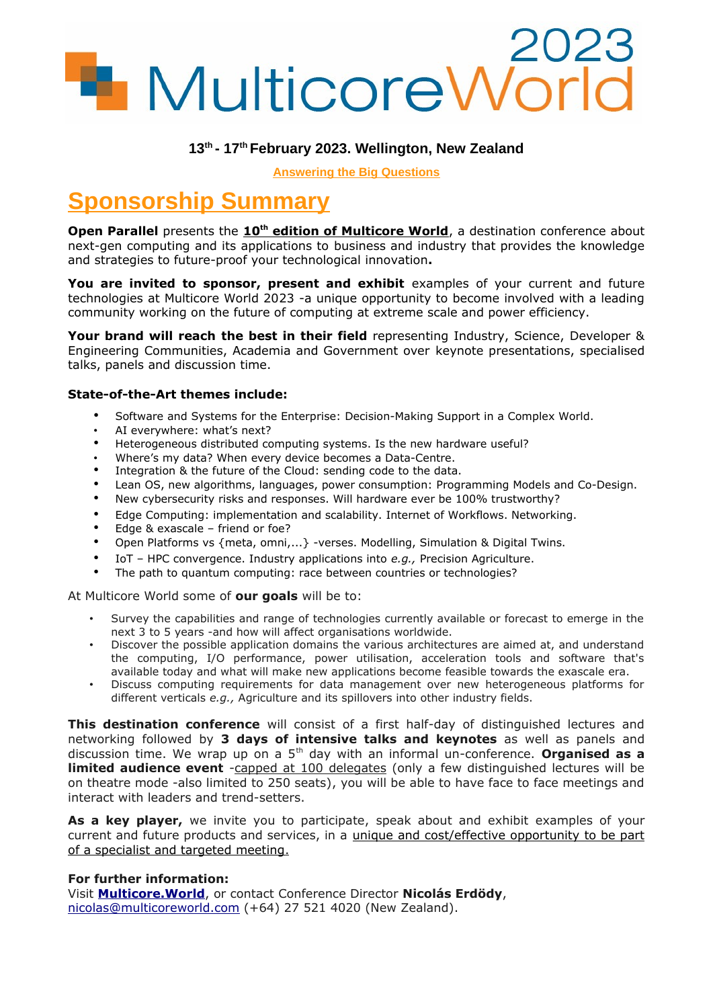# **1** MulticoreWorld

**Answering the Big Questions**

# **Sponsorship Summary**

**Open Parallel** presents the 10<sup>th</sup> edition of Multicore World, a destination conference about next-gen computing and its applications to business and industry that provides the knowledge and strategies to future-proof your technological innovation**.**

You are invited to sponsor, present and exhibit examples of your current and future technologies at Multicore World 2023 -a unique opportunity to become involved with a leading community working on the future of computing at extreme scale and power efficiency.

**Your brand will reach the best in their field** representing Industry, Science, Developer & Engineering Communities, Academia and Government over keynote presentations, specialised talks, panels and discussion time.

## **State-of-the-Art themes include:**

- Software and Systems for the Enterprise: Decision-Making Support in a Complex World.
- AI everywhere: what's next?
- Heterogeneous distributed computing systems. Is the new hardware useful?
- Where's my data? When every device becomes a Data-Centre.
- Integration & the future of the Cloud: sending code to the data.
- Lean OS, new algorithms, languages, power consumption: Programming Models and Co-Design.
- New cybersecurity risks and responses. Will hardware ever be 100% trustworthy?
- Edge Computing: implementation and scalability. Internet of Workflows. Networking.
- Edge & exascale friend or foe?
- Open Platforms vs {meta, omni,...} -verses. Modelling, Simulation & Digital Twins.
- IoT HPC convergence. Industry applications into *e.g.,* Precision Agriculture.
- The path to quantum computing: race between countries or technologies?

At Multicore World some of **our goals** will be to:

- Survey the capabilities and range of technologies currently available or forecast to emerge in the next 3 to 5 years -and how will affect organisations worldwide.
- Discover the possible application domains the various architectures are aimed at, and understand the computing, I/O performance, power utilisation, acceleration tools and software that's available today and what will make new applications become feasible towards the exascale era.
- Discuss computing requirements for data management over new heterogeneous platforms for different verticals *e.g.,* Agriculture and its spillovers into other industry fields.

**This destination conference** will consist of a first half-day of distinguished lectures and networking followed by **3 days of intensive talks and keynotes** as well as panels and discussion time. We wrap up on a 5th day with an informal un-conference. **Organised as a limited audience event** - capped at 100 delegates (only a few distinguished lectures will be on theatre mode -also limited to 250 seats), you will be able to have face to face meetings and interact with leaders and trend-setters.

As a key player, we invite you to participate, speak about and exhibit examples of your current and future products and services, in a unique and cost/effective opportunity to be part of a specialist and targeted meeting .

### **For further information:**

Visit **[Multicore.World](http://www.MulticoreWorld.com/)**, or contact Conference Director **Nicolás Erdödy**, [nicolas@multicoreworld.com](mailto:nicolas@multicoreworld.com) (+64) 27 521 4020 (New Zealand).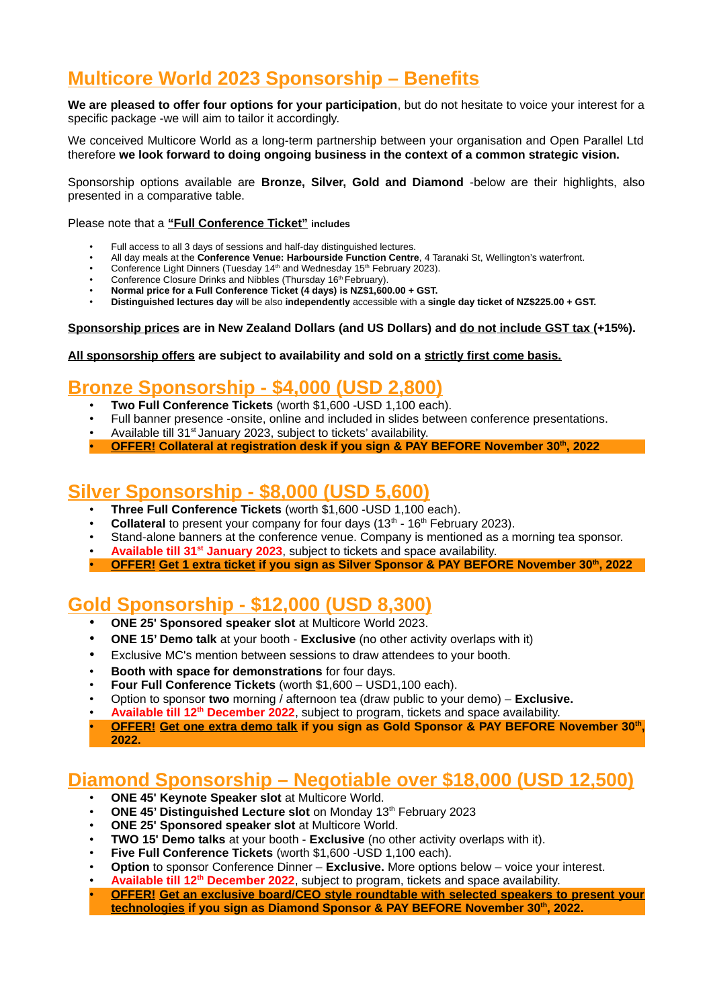# **Multicore World 2023 Sponsorship - Benefits**

**We are pleased to offer four options for your participation**, but do not hesitate to voice your interest for a specific package -we will aim to tailor it accordingly.

We conceived Multicore World as a long-term partnership between your organisation and Open Parallel Ltd therefore **we look forward to doing ongoing business in the context of a common strategic vision.** 

Sponsorship options available are **Bronze, Silver, Gold and Diamond** -below are their highlights, also presented in a comparative table.

Please note that a **"Full Conference Ticket" includes**

- Full access to all 3 days of sessions and half-day distinguished lectures.
- All day meals at the **Conference Venue: Harbourside Function Centre**, 4 Taranaki St, Wellington's waterfront.
- Conference Light Dinners (Tuesday 14<sup>th</sup> and Wednesday 15<sup>th</sup> February 2023).
- Conference Closure Drinks and Nibbles (Thursday 16<sup>th</sup> February).
- **Normal price for a Full Conference Ticket (4 days) is NZ\$1,600.00 + GST.**
- **Distinguished lectures day** will be also **independently** accessible with a **single day ticket of NZ\$225.00 + GST.**

Sponsorship prices are in New Zealand Dollars (and US Dollars) and do not include GST tax (+15%).

### **All sponsorship offers are subject to availability and sold on a strictly first come basis.**

# **Bronze Sponsorship - \$4,000 (USD 2,800)**

- **Two Full Conference Tickets** (worth \$1,600 -USD 1,100 each).
- Full banner presence -onsite, online and included in slides between conference presentations.
- Available till 31<sup>st</sup> January 2023, subject to tickets' availability.
- • **OFFER! Collateral at registration desk if you sign & PAY BEFORE November 30th, 2022**

# **Silver Sponsorship - \$8,000 (USD 5,600)**

- **Three Full Conference Tickets** (worth \$1,600 -USD 1,100 each).
- **Collateral** to present your company for four days (13<sup>th</sup> 16<sup>th</sup> February 2023).
- Stand-alone banners at the conference venue. Company is mentioned as a morning tea sponsor.
- **Available till 31<sup>st</sup> January 2023**, subject to tickets and space availability.
- • **OFFER! Get 1 extra ticket if you sign as Silver Sponsor & PAY BEFORE November 30th, 2022**

# **Gold Sponsorship - \$12,000 (USD 8,300)**

- **ONE 25' Sponsored speaker slot** at Multicore World 2023.
- **ONE 15' Demo talk** at your booth **Exclusive** (no other activity overlaps with it)
- Exclusive MC's mention between sessions to draw attendees to your booth.
- **Booth with space for demonstrations** for four days.
- **Four Full Conference Tickets** (worth \$1,600 USD1,100 each).
- Option to sponsor **two** morning / afternoon tea (draw public to your demo) **Exclusive.**
- **Available till 12th December 2022**, subject to program, tickets and space availability.
- • **OFFER! Get one extra demo talk if you sign as Gold Sponsor & PAY BEFORE November 30th , 2022.**

# **Diamond Sponsorship – Negotiable over \$18,000 (USD 12,500)**

- **ONE 45' Keynote Speaker slot** at Multicore World.
- **ONE 45' Distinguished Lecture slot** on Monday 13th February 2023
- **ONE 25' Sponsored speaker slot** at Multicore World.
- **TWO 15' Demo talks** at your booth **Exclusive** (no other activity overlaps with it).
- **Five Full Conference Tickets** (worth \$1,600 -USD 1,100 each).
- **Option** to sponsor Conference Dinner **Exclusive.** More options below voice your interest.
- **Available till 12th December 2022**, subject to program, tickets and space availability.
- • **OFFER! Get an exclusive board/CEO style roundtable with selected speakers to present your technologies if you sign as Diamond Sponsor & PAY BEFORE November 30th, 2022.**